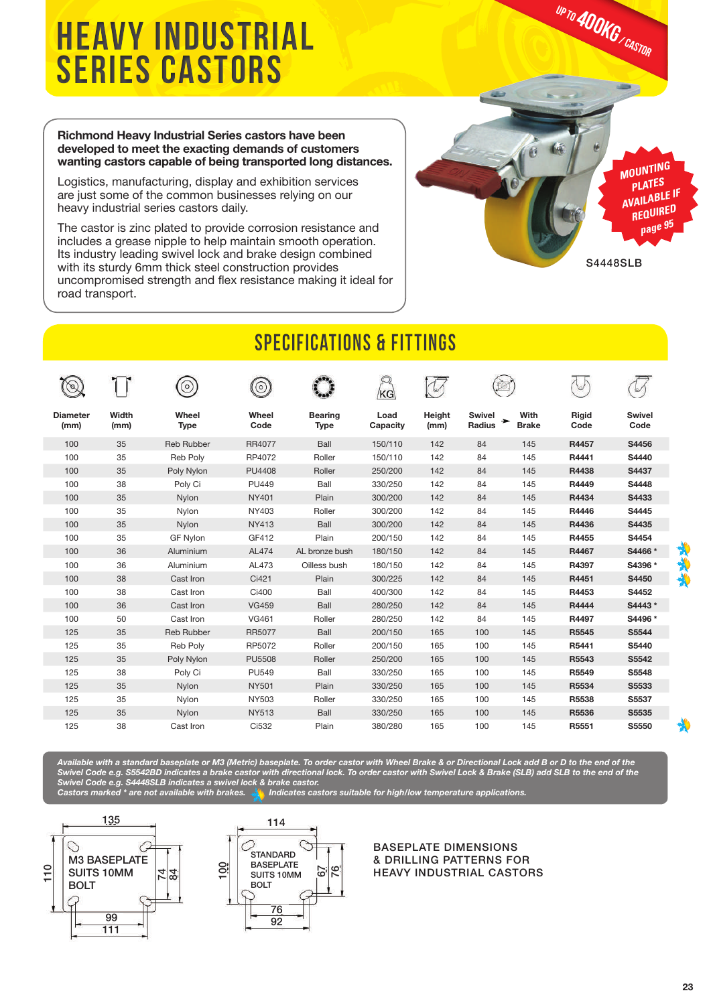## HEAVY INDUSTRIAL Series Castors

**Richmond Heavy Industrial Series castors have been developed to meet the exacting demands of customers wanting castors capable of being transported long distances.**

Logistics, manufacturing, display and exhibition services are just some of the common businesses relying on our heavy industrial series castors daily.

The castor is zinc plated to provide corrosion resistance and includes a grease nipple to help maintain smooth operation. Its industry leading swivel lock and brake design combined with its sturdy 6mm thick steel construction provides uncompromised strength and flex resistance making it ideal for road transport.



up to 400KG/ CASTOR

## Specifications & Fittings

|                         |               | (၀)                  | $\circ$       |                               | /KG              |                |                         |                      |               |                       |
|-------------------------|---------------|----------------------|---------------|-------------------------------|------------------|----------------|-------------------------|----------------------|---------------|-----------------------|
| <b>Diameter</b><br>(mm) | Width<br>(mm) | Wheel<br><b>Type</b> | Wheel<br>Code | <b>Bearing</b><br><b>Type</b> | Load<br>Capacity | Height<br>(mm) | Swivel<br><b>Radius</b> | With<br><b>Brake</b> | Rigid<br>Code | <b>Swivel</b><br>Code |
| 100                     | 35            | <b>Reb Rubber</b>    | RR4077        | Ball                          | 150/110          | 142            | 84                      | 145                  | R4457         | S4456                 |
| 100                     | 35            | <b>Reb Polv</b>      | RP4072        | Roller                        | 150/110          | 142            | 84                      | 145                  | R4441         | S4440                 |
| 100                     | 35            | Poly Nylon           | <b>PU4408</b> | Roller                        | 250/200          | 142            | 84                      | 145                  | R4438         | S4437                 |
| 100                     | 38            | Poly Ci              | <b>PU449</b>  | Ball                          | 330/250          | 142            | 84                      | 145                  | R4449         | S4448                 |
| 100                     | 35            | Nylon                | <b>NY401</b>  | Plain                         | 300/200          | 142            | 84                      | 145                  | R4434         | S4433                 |
| 100                     | 35            | Nylon                | NY403         | Roller                        | 300/200          | 142            | 84                      | 145                  | R4446         | S4445                 |
| 100                     | 35            | Nylon                | <b>NY413</b>  | Ball                          | 300/200          | 142            | 84                      | 145                  | R4436         | S4435                 |
| 100                     | 35            | <b>GF Nylon</b>      | GF412         | Plain                         | 200/150          | 142            | 84                      | 145                  | R4455         | S4454                 |
| 100                     | 36            | Aluminium            | AL474         | AL bronze bush                | 180/150          | 142            | 84                      | 145                  | R4467         | S4466 *               |
| 100                     | 36            | Aluminium            | AL473         | Oilless bush                  | 180/150          | 142            | 84                      | 145                  | R4397         | S4396 *               |
| 100                     | 38            | Cast Iron            | Ci421         | Plain                         | 300/225          | 142            | 84                      | 145                  | R4451         | S4450                 |
| 100                     | 38            | Cast Iron            | Ci400         | Ball                          | 400/300          | 142            | 84                      | 145                  | R4453         | S4452                 |
| 100                     | 36            | Cast Iron            | <b>VG459</b>  | Ball                          | 280/250          | 142            | 84                      | 145                  | R4444         | S4443 *               |
| 100                     | 50            | Cast Iron            | <b>VG461</b>  | Roller                        | 280/250          | 142            | 84                      | 145                  | R4497         | S4496 *               |
| 125                     | 35            | <b>Reb Rubber</b>    | <b>RR5077</b> | Ball                          | 200/150          | 165            | 100                     | 145                  | R5545         | S5544                 |
| 125                     | 35            | <b>Reb Polv</b>      | RP5072        | Roller                        | 200/150          | 165            | 100                     | 145                  | R5441         | S5440                 |
| 125                     | 35            | Poly Nylon           | <b>PU5508</b> | Roller                        | 250/200          | 165            | 100                     | 145                  | R5543         | S5542                 |
| 125                     | 38            | Poly Ci              | <b>PU549</b>  | Ball                          | 330/250          | 165            | 100                     | 145                  | R5549         | S5548                 |
| 125                     | 35            | Nylon                | <b>NY501</b>  | Plain                         | 330/250          | 165            | 100                     | 145                  | R5534         | S5533                 |
| 125                     | 35            | Nylon                | <b>NY503</b>  | Roller                        | 330/250          | 165            | 100                     | 145                  | R5538         | S5537                 |
| 125                     | 35            | Nylon                | <b>NY513</b>  | Ball                          | 330/250          | 165            | 100                     | 145                  | R5536         | S5535                 |
| 125                     | 38            | Cast Iron            | Ci532         | Plain                         | 380/280          | 165            | 100                     | 145                  | R5551         | S5550                 |

*Available with a standard baseplate or M3 (Metric) baseplate. To order castor with Wheel Brake & or Directional Lock add B or D to the end of the Swivel Code e.g. S5542BD indicates a brake castor with directional lock. To order castor with Swivel Lock & Brake (SLB) add SLB to the end of the Swivel Code e.g. S4448SLB indicates a swivel lock & brake castor.* 

*Castors marked \* are not available with brakes. Indicates castors suitable for high/low temperature applications.* 



STANDARD STANDARD BASEPLATE BASEPLATE SUITS 10MM SUITS 10MM 67 76 76

BASEPLATE DIMENSIONS & DRILLING PATTERNS FOR HEAVY INDUSTRIAL CASTORS